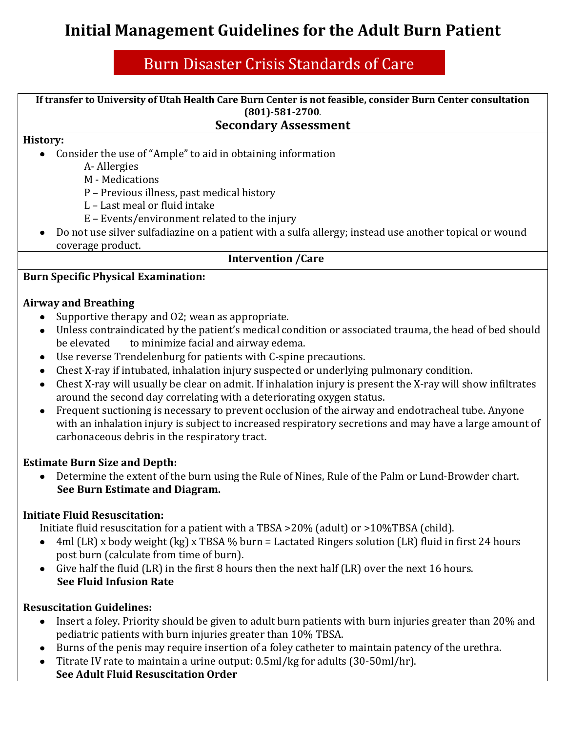# **Initial Management Guidelines for the Adult Burn Patient**

## Burn Disaster Crisis Standards of Care

**If transfer to University of Utah Health Care Burn Center is not feasible, consider Burn Center consultation (801)-581-2700**.

### **Secondary Assessment**

#### **History:**

- Consider the use of "Ample" to aid in obtaining information
	- A- Allergies
	- M Medications
	- P Previous illness, past medical history
	- L Last meal or fluid intake
	- E Events/environment related to the injury
- Do not use silver sulfadiazine on a patient with a sulfa allergy; instead use another topical or wound coverage product.

#### **Intervention /Care**

#### **Burn Specific Physical Examination:**

#### **Airway and Breathing**

- Supportive therapy and 02; wean as appropriate.
- Unless contraindicated by the patient's medical condition or associated trauma, the head of bed should be elevated to minimize facial and airway edema.
- Use reverse Trendelenburg for patients with C-spine precautions.
- Chest X-ray if intubated, inhalation injury suspected or underlying pulmonary condition.
- Chest X-ray will usually be clear on admit. If inhalation injury is present the X-ray will show infiltrates around the second day correlating with a deteriorating oxygen status.
- Frequent suctioning is necessary to prevent occlusion of the airway and endotracheal tube. Anyone with an inhalation injury is subject to increased respiratory secretions and may have a large amount of carbonaceous debris in the respiratory tract.

## **Estimate Burn Size and Depth:**

Determine the extent of the burn using the Rule of Nines, Rule of the Palm or Lund-Browder chart.  $\bullet$  **See Burn Estimate and Diagram.** 

## **Initiate Fluid Resuscitation:**

Initiate fluid resuscitation for a patient with a TBSA >20% (adult) or >10%TBSA (child).

- 4ml (LR) x body weight (kg) x TBSA % burn = Lactated Ringers solution (LR) fluid in first 24 hours  $\bullet$ post burn (calculate from time of burn).
- Give half the fluid (LR) in the first 8 hours then the next half (LR) over the next 16 hours. **See Fluid Infusion Rate**

#### **Resuscitation Guidelines:**

- Insert a foley. Priority should be given to adult burn patients with burn injuries greater than 20% and  $\bullet$ pediatric patients with burn injuries greater than 10% TBSA.
- Burns of the penis may require insertion of a foley catheter to maintain patency of the urethra.
- Titrate IV rate to maintain a urine output: 0.5ml/kg for adults (30-50ml/hr). **See Adult Fluid Resuscitation Order**